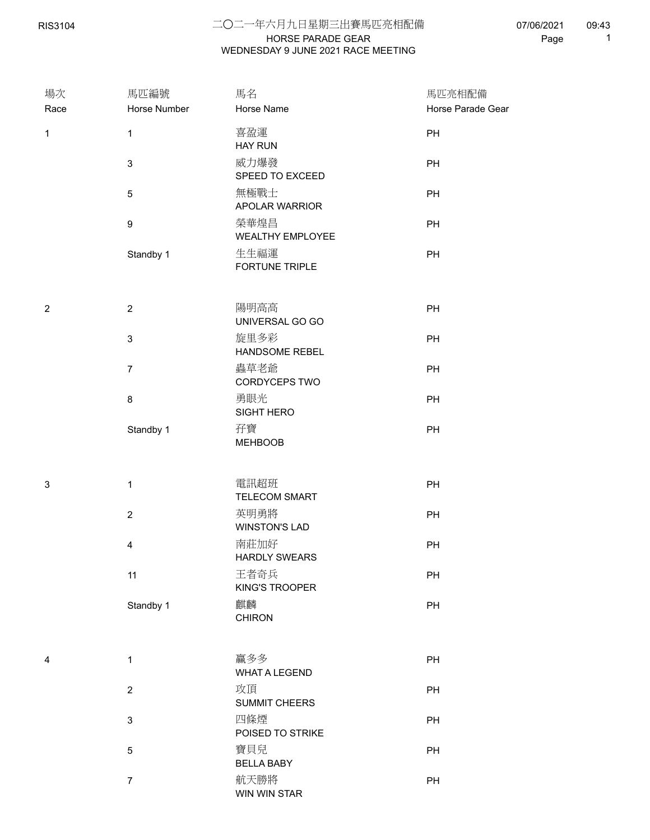## HORSE PARADE GEAR 二○二一年六月九日星期三出賽馬匹亮相配備 WEDNESDAY 9 JUNE 2021 RACE MEETING

| 場次             | 馬匹編號                      | 馬名                           | 馬匹亮相配備            |  |
|----------------|---------------------------|------------------------------|-------------------|--|
| Race           | Horse Number              | Horse Name                   | Horse Parade Gear |  |
| $\mathbf{1}$   | $\mathbf 1$               | 喜盈運<br><b>HAY RUN</b>        | PH                |  |
|                | $\ensuremath{\mathsf{3}}$ | 威力爆發<br>SPEED TO EXCEED      | PH                |  |
|                | $\,$ 5 $\,$               | 無極戰士<br>APOLAR WARRIOR       | PH                |  |
|                | 9                         | 榮華煌昌<br>WEALTHY EMPLOYEE     | PH                |  |
|                | Standby 1                 | 生生福運<br>FORTUNE TRIPLE       | PH                |  |
| $\overline{c}$ | $\sqrt{2}$                | 陽明高高<br>UNIVERSAL GO GO      | PH                |  |
|                | $\ensuremath{\mathsf{3}}$ | 旋里多彩<br>HANDSOME REBEL       | PH                |  |
|                | $\boldsymbol{7}$          | 蟲草老爺<br>CORDYCEPS TWO        | PH                |  |
|                | 8                         | 勇眼光<br>SIGHT HERO            | PH                |  |
|                | Standby 1                 | 孖寶<br><b>MEHBOOB</b>         | PH                |  |
| 3              | $\mathbf 1$               | 電訊超班<br><b>TELECOM SMART</b> | PH                |  |
|                | $\overline{2}$            | 英明勇將<br><b>WINSTON'S LAD</b> | PH                |  |
|                | 4                         | 南莊加好<br><b>HARDLY SWEARS</b> | PH                |  |
|                | 11                        | 王者奇兵<br>KING'S TROOPER       | PH                |  |
|                | Standby 1                 | 麒麟<br><b>CHIRON</b>          | PH                |  |
| 4              | $\mathbf{1}$              | 贏多多<br><b>WHAT A LEGEND</b>  | PH                |  |
|                | $\overline{2}$            | 攻頂<br>SUMMIT CHEERS          | PH                |  |
|                | $\ensuremath{\mathsf{3}}$ | 四條煙<br>POISED TO STRIKE      | PH                |  |
|                | $\sqrt{5}$                | 寶貝兒<br><b>BELLA BABY</b>     | PH                |  |
|                | $\overline{7}$            | 航天勝將<br>WIN WIN STAR         | $\mathsf{PH}$     |  |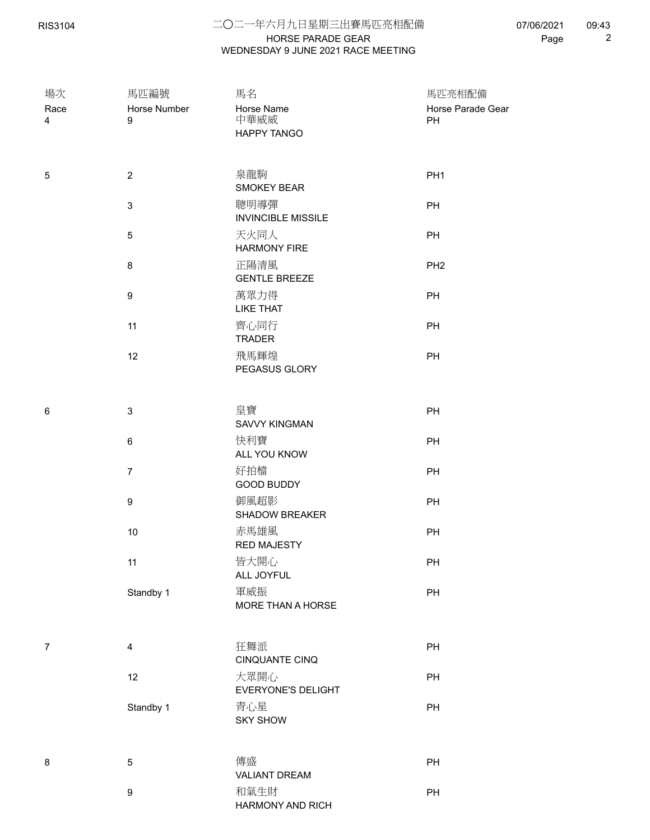RIS3104

## HORSE PARADE GEAR 二○二一年六月九日星期三出賽馬匹亮相配備 WEDNESDAY 9 JUNE 2021 RACE MEETING

07/06/2021 Page 2 09:43

| 場次<br>Race<br>4 | 馬匹編號<br>Horse Number<br>9 | 馬名<br>Horse Name<br>中華威威<br>HAPPY TANGO | 馬匹亮相配備<br>Horse Parade Gear<br>PH |
|-----------------|---------------------------|-----------------------------------------|-----------------------------------|
| 5               | $\overline{2}$            | 泉龍駒<br><b>SMOKEY BEAR</b>               | PH <sub>1</sub>                   |
|                 | $\mathbf{3}$              | 聰明導彈<br><b>INVINCIBLE MISSILE</b>       | PH                                |
|                 | $\,$ 5 $\,$               | 天火同人<br><b>HARMONY FIRE</b>             | PH                                |
|                 | $\bf 8$                   | 正陽清風<br><b>GENTLE BREEZE</b>            | PH <sub>2</sub>                   |
|                 | $\boldsymbol{9}$          | 萬眾力得<br><b>LIKE THAT</b>                | PH                                |
|                 | 11                        | 齊心同行<br><b>TRADER</b>                   | PH                                |
|                 | 12                        | 飛馬輝煌<br>PEGASUS GLORY                   | PH                                |
| 6               | $\mathbf{3}$              | 皇寶<br><b>SAVVY KINGMAN</b>              | PH                                |
|                 | $\,6\,$                   | 快利寶<br>ALL YOU KNOW                     | PH                                |
|                 | $\overline{7}$            | 好拍檔<br>GOOD BUDDY                       | PH                                |
|                 | $\boldsymbol{9}$          | 御風超影<br>SHADOW BREAKER                  | PH                                |
|                 | $10$                      | 赤馬雄風<br><b>RED MAJESTY</b>              | PH                                |
|                 | 11                        | 皆大開心<br>ALL JOYFUL                      | PH                                |
|                 | Standby 1                 | 軍威振<br>MORE THAN A HORSE                | PH                                |
| $\overline{7}$  | $\overline{4}$            | 狂舞派<br><b>CINQUANTE CINQ</b>            | PH                                |
|                 | 12                        | 大眾開心<br>EVERYONE'S DELIGHT              | PH                                |
|                 | Standby 1                 | 青心星<br><b>SKY SHOW</b>                  | PH                                |
| 8               | $\,$ 5 $\,$               | 傳盛<br><b>VALIANT DREAM</b>              | PH                                |
|                 | $\boldsymbol{9}$          | 和氣生財<br>HARMONY AND RICH                | PH                                |